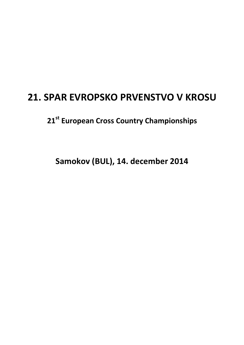## **21. SPAR EVROPSKO PRVENSTVO V KROSU**

**21st European Cross Country Championships** 

**Samokov (BUL), 14. december 2014**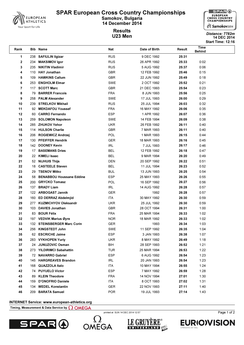



U23 Men 14 DEC 2014 Distance: 7782m Start Time: 12:16

# **Results**

| Rank         |     | <b>Bib Name</b>                     | Nat               | Date of Birth       | Result         | Time<br><b>Behind</b> |  |
|--------------|-----|-------------------------------------|-------------------|---------------------|----------------|-----------------------|--|
| 1            |     | 238 SAFIULIN Ilgizar                | <b>RUS</b>        | 9 DEC 1992          | 25:31          |                       |  |
| $\mathbf{2}$ | 234 | <b>MAKSIMOV Igor</b>                | <b>RUS</b>        | 26 APR 1992         | 25:33          | 0:02                  |  |
| 3            | 235 | <b>NIKITIN Vladimir</b>             | <b>RUS</b>        | 5 AUG 1992          | 25:37          | 0:06                  |  |
| 4            | 110 | <b>HAY Jonathan</b>                 | <b>GBR</b>        | 12 FEB 1992         | 25:46          | 0:15                  |  |
| 5            | 109 | <b>HAWKINS Callum</b>               | <b>GBR</b>        | 22 JUN 1992         | 25:49          | 0:18                  |  |
| 6            |     | 253 ENGHOLM Elmar                   | SWE               | 2 OCT 1992          | 25:52          | 0:21                  |  |
| 7            |     | 117 SCOTT Marc                      | <b>GBR</b>        | 21 DEC 1993         | 25:54          | 0:23                  |  |
| 8            | 79  | <b>BARRER Francois</b>              | <b>FRA</b>        | 8 JUN 1993          | 25:56          | 0:25                  |  |
| 9            |     | 258 PALM Alexander                  | SWE               | 17 JUL 1993         | 26:00          | 0:29                  |  |
| 10           |     | 239 STRELKOV Mikhail                | <b>RUS</b>        | 25 JUL 1994         | 26:03          | 0:32                  |  |
| 11           |     | 92 MEKDAFOU Youssef                 | <b>FRA</b>        | 16 MAY 1992         | 26:06          | 0:35                  |  |
| 12           | 60  | <b>CARRO Fernando</b>               | <b>ESP</b>        | 1 APR 1992          | 26:07          | 0:36                  |  |
| 13           | 259 | <b>SOLOMON Napoleon</b>             | SWE               | 14 FEB 1994         | 26:09          | 0:38                  |  |
| 14           |     | 285 ZHUKOV Yehor                    | <b>UKR</b>        | 26 FEB 1992         | 26:11          | 0:40                  |  |
| 15           |     | 114 HULSON Charlie                  | <b>GBR</b>        | 7 MAR 1993          | 26:11          | 0:40                  |  |
| 16           |     | 206 ROGIEWICZ Andrzej               | <b>POL</b>        | 1 MAR 1993          | 26:15          | 0:44                  |  |
| 17           |     | 130 PFEIFFER Hendrik                | <b>GER</b>        | 18 MAR 1993         | 26:16          | 0:45                  |  |
| 18           |     | 142 DOONEY Kevin                    | <b>IRL</b>        | 7 JUL 1993          | 26:17          | 0:46                  |  |
| 19           | 17  | <b>BASEMANS Dries</b>               | <b>BEL</b>        | 12 FEB 1992         | 26:18          | 0:47                  |  |
| 20           | 22  | <b>KIMELI Isaac</b>                 | <b>BEL</b>        | 9 MAR 1994          | 26:20          | 0:49                  |  |
| 21           | 52  | <b>NIJHUIS Thijs</b>                | DEN               | 20 SEP 1992         | 26:22          | 0:51                  |  |
| 22           |     | 18 CASTEELE Steven                  | <b>BEL</b>        | 11 JUL 1994         | 26:23          | 0:52                  |  |
| 23           |     | 29 TSENOV Mitko                     | <b>BUL</b>        | 13 JUN 1993         | 26:25          | 0:54                  |  |
| 24           | 58  | <b>BENABBOU Houssane Eddine</b>     | <b>ESP</b>        | 25 MAY 1993         | 26:26          | 0:55                  |  |
| 25           |     | 200 GRYCKO Tomasz<br>137 BRADY Liam | POL<br><b>IRL</b> | 16 SEP 1992         | 26:27          | 0:56                  |  |
| 26<br>27     |     | 122 ARBOGAST Jannik                 | <b>GER</b>        | 14 AUG 1992<br>1992 | 26:28<br>26:28 | 0:57<br>0:57          |  |
| 28           |     | 160 ED DERRAZ Abdelmjid             | ITA               | 30 MAY 1992         | 26:30          | 0:59                  |  |
| 29           |     | 277 KUZMICHYOV Oleksandr            | <b>UKR</b>        | 25 JUL 1992         | 26:30          | 0:59                  |  |
| 30           |     | 103 DAVIES Jonathan                 | <b>GBR</b>        | 28 OCT 1994         | 26:31          | 1:00                  |  |
| 31           |     | 83 BOUR Félix                       | <b>FRA</b>        | 25 MAR 1994         | 26:33          | 1:02                  |  |
| 32           |     | 197 VEDVIK Marius Øyre              | <b>NOR</b>        | 18 MAR 1992         | 26:33          | 1:02                  |  |
| 33           |     | 132 STEINSBERGER Marc Corin         | <b>GER</b>        | 1993                | 26:34          | 1:03                  |  |
| 34           |     | 256 KINGSTEDT John                  | SWE               | 11 SEP 1992         | 26:35          | 1:04                  |  |
| 35           |     | 62 ESCRICHE Jaime                   | <b>ESP</b>        | 3 JAN 1993          | 26:38          | 1:07                  |  |
| 36           |     | 283 VYKHOPEN Yuriv                  | <b>UKR</b>        | 8 MAY 1992          | 26:49          | 1:18                  |  |
| 37           |     | 24 JUNUZOVIC Osman                  | BIH               | 28 SEP 1993         | 26:52          | 1:21                  |  |
| 38           |     | 273 YILDIRIMCI Sabahattin           | <b>TUR</b>        | 25 MAR 1994         | 26:53          | 1:22                  |  |
| 39           |     | 72 NAVARRO Gabriel                  | <b>ESP</b>        | 6 AUG 1992          | 26:54          | 1:23                  |  |
| 40           |     | 145 HARGREAVES Brandon              | <b>IRL</b>        | 20 JAN 1993         | 26:54          | 1:23                  |  |
| 41           |     | 168 QUAZZOLA Italo                  | <b>ITA</b>        | 10 MAY 1994         | 26:55          | 1:24                  |  |
| 42           |     | 74 PUYUELO Víctor                   | <b>ESP</b>        | 7 MAY 1992          | 26:59          | 1:28                  |  |
| 43           | 89  | <b>KLEIN Theodore</b>               | <b>FRA</b>        | 14 NOV 1994         | 27:01          | 1:30                  |  |
| 44           | 159 | <b>D'ONOFRIO Daniele</b>            | ITA               | 8 OCT 1993          | 27:02          | 1:31                  |  |
| 45           |     | 134 WEDEL Konstantin                | GER               | 22 NOV 1993         | 27:11          | 1:40                  |  |
| 46           |     | 209 BARATA Samuel                   | <b>POR</b>        | 19 JUL 1993         | 27:14          | 1:43                  |  |

#### INTERNET Service: www.european-athletics.org

Timing, Measurement & Data Service by  $\Omega$  OMEGA





printed at SUN 14 DEC 2014 12:57



**EURIOVISION** 

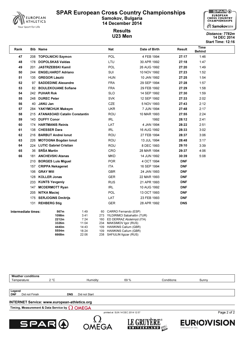

Results



#### U23 Men 14 DEC 2014 Start Time: 12:16 Distance: 7782m

Time یسته به است که از این کشور از این معامل است.<br>استفاده از این کشور Date of Birth Result به این این کشور از این کشور از این کشور از این کشور از این کشور از ای Behind 208 TOPOLNICKI Szymon POL 4 FEB 1994 27:17 1:46 178 DOPOLSKAS Valdas LTU 30 APR 1992 27:18 1:47 201 JASTRZEBSKI Kamil POL 26 AUG 1992 27:20 1:49 244 ENGELHARDT Adriano SUI 10 NOV 1992 27:23 1:52 135 GREGOR László HUN 10 JAN 1992 27:25 1:54 97 SADDEDINE Alexandre FRA 29 SEP 1994 27:28 1:57 82 BOULEKOUANE Sofiane FRA 29 FEB 1992 27:29 1:58 242 PUHAR Rok SLO 14 SEP 1992 27:30 1:59 248 DUREC Peter SVK 12 SEP 1992 27:33 2:02 40 JANU Jan CZE 5 NOV 1993 27:43 2:12 284 YAKYMCHUK Maksym UKR 7 JUN 1994 27:48 2:17 215 ATANASOAEI Catalin Constantin ROU 10 MAR 1993 27:55 2:24 143 DUFFY Conor IRL 1992 28:12 2:41 174 HARTMANIS Reinis LAT 4 JAN 1994 28:22 2:51 138 CHESSER Dara IRL 16 AUG 1992 28:33 3:02 216 BARBUT Andrei Ionut ROU 27 FEB 1994 28:37 3:06 226 MOTOGNA Bogdan Ionut ROU 13 JUL 1994 28:48 3:17 224 LUTIC Gabriel Cristian ROU 8 DEC 1993 29:10 3:39 36 SRŠA Martin CRO 28 MAR 1994 29:37 4:06 181 ANCHEVSKI Atanas MKD 14 JUN 1992 30:39 5:08 BORGES Luis Miguel POR 4 OCT 1994 DNF 157 CRIPPA Nekagenet 117A 16 SEP 1994 DNF GRAY Will GBR 24 JAN 1993 DNF KOLLER Jonas GER 22 MAR 1993 DNF KUNTS Yevgeniy RUS 21 APR 1993 DNF 147 MCDERMOTT Ryan **IRL 10 AUG 1992** DNF NITKA Maciej POL 13 OCT 1993 DNF SERJOGINS Dmitrijs LAT 23 FEB 1993 DNF **REHBERG Stig COMPUTE:** GER 28 APR 1992 **DNS** Intermediate times:  $567m$  1:49 60 CARRO Fernando (ESP) 1098m 3:41 273 YILDIRIMCI Sabahattin (TUR) 2212m 7:24 160 ED DERRAZ Abdelmjid (ITA)<br>3326m 11:04 234 MAKSIMOV Igor (RUS) **3326m** 11:04 234 MAKSIMOV Igor (RUS)<br>**4440m** 14:43 109 HAWKINS Callum (GBF 14:43 109 HAWKINS Callum (GBR) 5554m 18:24 109 HAWKINS Callum (GBR) 6668m 22:06 238 SAFIULIN Ilgizar (RUS)



printed at SUN 14 DEC 2014 12:57

Timing, Measurement & Data Service by  $\Omega$  OMEGA



Weather conditions





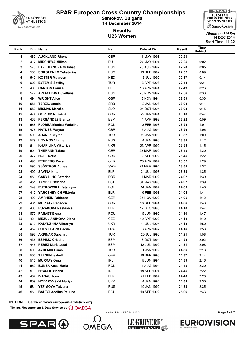

Results

Time یسته به است که از این کشور از این معامل است.<br>استفاده از این کشور Date of Birth Result به این این کشور از این کشور از این کشور از این کشور از این کشور از ای



#### U23 Women 2014 Distance. 8005/11 Start Time: 11:32 Distance: 6085m

Behind

1 469 AUCKLAND Rhona GBR 11 MAY 1993 22:23 417 MIRCHEVA Militsa BUL 24 MAY 1994 22:25 0:02 578 FAZLITDINOVA Gulshat RUS 28 AUG 1992 22:28 0:05 580 SOKOLENKO Yekaterina RUS 13 SEP 1992 22:32 0:09 540 KOSTER Maureen NED 3 JUL 1992 22:37 0:14 603 EYTEMIS Sevilay TUR 3 APR 1993 22:44 0:21 403 CARTON Louise BEL 16 APR 1994 22:49 0:26 577 APLACHKINA Svetlana RUS 28 NOV 1992 22:56 0:33 491 WRIGHT Alice GBR 3 NOV 1994 22:59 0:36 586 TERZIC Amela SRB 2 JAN 1993 23:04 0:41 582 MIŠMAŠ Maruša SLO 24 OCT 1994 23:08 0:45 474 GORECKA Emelia GBR 29 JAN 1994 23:10 0:47 437 FERNÁNDEZ Blanca ESP 1 APR 1992 23:22 0:59 568 FLOREA Monica Madalina ROU 3 FEB 1993 23:24 1:01 476 HAYNES Maryse GBR 5 AUG 1994 23:29 1:06 596 ADANIR Seyran TUR 12 JAN 1993 23:32 1:09 579 LITVINOVA Luiza RUS 4 JAN 1993 23:35 1:12 611 KHAPILINA Viktoriya UKR 23 APR 1992 23:38 1:15 501 THEMANN Tabea GER 22 MAR 1992 23:43 1:20 477 HOLT Katie GBR 7 SEP 1992 23:45 1:22 498 REHBERG Maya GER 28 APR 1994 23:52 1:29 22 595 SJÖSTRÖM Agnes **SWE 23 MAR 1994** 23:55 1:32 409 SAVINA Nina BLR 21 JUL 1993 23:58 1:35 24 550 CARVALHO Catarina **POR** 1 MAR 1992 24:02 1:39 25 451 TAMBET Heleene EST EST 31 MAY 1993 24:02 1:39 549 RUTKOWSKA Katarzyna POL 14 JAN 1994 24:03 1:40 410 YAROSHEVICH Viktoria BLR 9 FEB 1993 24:04 1:41 492 AMRHEIN Fabienne GER 25 NOV 1992 24:05 1:42 481 MURRAY Rebecca GBR 26 SEP 1994 24:06 1:43 408 PUZAKOVA Nastassia BLR 12 DEC 1993 24:10 1:47 572 PANAET Elena ROU 5 JUN 1993 24:10 1:47 421 MEZULIÁNÍKOVÁ Diana CZE 10 APR 1992 24:12 1:49 610 KALYUZHNA Viktoriya UKR 11 JUL 1994 24:13 1:50 457 CHEVILLARD Cécile FRA 6 APR 1992 24:16 1:53 597 AKPINAR Sabahat TUR 20 JUL 1993 24:21 1:58 436 ESPEJO Cristina ESP 13 OCT 1994 24:25 2:02 446 PÉREZ María José ESP 12 JUN 1992 24:31 2:08 600 **AYDEMIR Esma** TUR 1 JAN 1992 **24:36** 2:13 500 TEEGEN Isabell GER 16 SEP 1993 24:37 2:14 515 MURRAY Orna IRL 5 JUN 1994 24:39 2:16 562 BUNEA Anca Maria ROU 4 AUG 1994 24:43 2:20 42 511 HEASLIP Shona 18 CHE 18 SEP 1994 24:45 2:22 407 IVANAU Ilona BLR 21 FEB 1994 24:46 2:23 609 HODAKYVSKA Mariya UKR 4 JAN 1994 24:53 2:30 581 YEFIMOVA Tatyana RUS 19 JAN 1992 24:58 2:35 561 BALTOI Adelina Paulina ROU 19 SEP 1992 25:06 2:43

#### INTERNET Service: www.european-athletics.org

### Timing, Measurement & Data Service by  $\Omega$  OMEGA







printed at SUN 14 DEC 2014 12:04



Page 1 of 2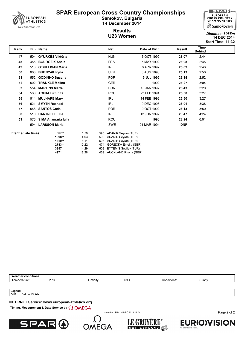

## **Results**



## U23 Women 14 DEC 2014 Distance: 6085m Start Time: 11:32

| Rank                |     | Bib Name              |       |     | Nat                          | Date of Birth | <b>Result</b> | Time<br><b>Behind</b> |  |
|---------------------|-----|-----------------------|-------|-----|------------------------------|---------------|---------------|-----------------------|--|
| 47                  |     | 504 GYÜRKÉS Viktória  |       |     | <b>HUN</b>                   | 15 OCT 1992   | 25:07         | 2:44                  |  |
| 48                  | 455 | <b>BOURGEIX Anais</b> |       |     | <b>FRA</b>                   | 5 MAY 1992    | 25:08         | 2:45                  |  |
| 49                  | 518 | O'SULLIVAN Maria      |       |     | <b>IRL</b>                   | 6 APR 1992    | 25:09         | 2:46                  |  |
| 50                  | 608 | <b>BUBNYAK Iryna</b>  |       |     | <b>UKR</b>                   | 5 AUG 1993    | 25:13         | 2:50                  |  |
| 51                  | 552 | <b>GODINHO Susana</b> |       |     | <b>POR</b>                   | 5 JUL 1992    | 25:15         | 2:52                  |  |
| 52                  | 502 | <b>TRÄNKLE Melina</b> |       |     | <b>GER</b>                   | 1992          | 25:27         | 3:04                  |  |
| 53                  | 554 | <b>MARTINS Marta</b>  |       |     | <b>POR</b>                   | 15 JAN 1992   | 25:43         | 3:20                  |  |
| 54                  |     | 560 ACHIM Luminita    |       |     | <b>ROU</b>                   | 23 FEB 1994   | 25:50         | 3:27                  |  |
| 55                  | 514 | <b>MULHARE Mary</b>   |       |     | <b>IRL</b>                   | 14 FEB 1993   | 25:50         | 3:27                  |  |
| 56                  | 521 | <b>SMYTH Rachael</b>  |       |     | <b>IRL</b>                   | 19 DEC 1993   | 26:01         | 3:38                  |  |
| 57                  | 558 | <b>SANTOS Cátia</b>   |       |     | <b>POR</b>                   | 9 OCT 1992    | 26:13         | 3:50                  |  |
| 58                  | 510 | <b>HARTNETT Ellie</b> |       |     | IRL                          | 13 JUN 1992   | 26:47         | 4:24                  |  |
| 59                  | 576 | SIMA Anamaria Iulia   |       |     | ROU                          | 1993          | 28:24         | 6:01                  |  |
|                     | 594 | <b>LARSSON Maria</b>  |       |     | <b>SWE</b>                   | 24 MAR 1994   | <b>DNF</b>    |                       |  |
| Intermediate times: |     | 567m<br>1:59          |       | 596 | <b>ADANIR Seyran (TUR)</b>   |               |               |                       |  |
|                     |     | 1098m                 | 4:03  | 596 | <b>ADANIR Seyran (TUR)</b>   |               |               |                       |  |
|                     |     | 1629m                 | 6:11  | 596 | <b>ADANIR Seyran (TUR)</b>   |               |               |                       |  |
|                     |     | 2743m                 | 10:22 | 474 | <b>GORECKA Emelia (GBR)</b>  |               |               |                       |  |
|                     |     | 3857m                 | 14:29 | 603 | <b>EYTEMIS Sevilay (TUR)</b> |               |               |                       |  |
|                     |     | 4971m                 | 18:28 | 469 | AUCKLAND Rhona (GBR)         |               |               |                       |  |

Weather conditions<br>Temperature: Temperature: 2 °C Humidity: 69 % Conditions: Sunny

printed at SUN 14 DEC 2014 12:04

Legend<br>DNF Did not Finish

## INTERNET Service: www.european-athletics.org

Timing, Measurement & Data Service by  $\Omega$  OMEGA







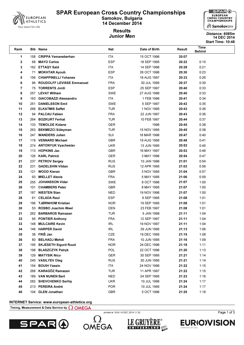

Results



#### Junior Men 14 DEC 2014 Start Time: 10:48 Distance: 6085m

Time یسته به است که از این کشور از این معامل است.<br>استفاده از این کشور Date of Birth Result به این این کشور از این کشور از این کشور از این کشور از این کشور از ای Behind 1 158 CRIPPA Yemaneberhan 1TA 15 OCT 1996 20:07 68 MAYO Carlos ESP 18 SEP 1995 20:22 0:15 162 ETTAQY Said ITA 14 SEP 1996 20:28 0:21 71 MOKHTAR Ayoub ESP 26 OCT 1996 20:30 0:23 156 CHIAPPINELLI Yohanes ITA 18 AUG 1997 20:33 0:26 96 ROUDOLFF LEVISSE Emmanuel FRA 30 JUL 1995 20:37 0:30 75 TORRENTS Jordi ESP 25 SEP 1997 20:40 0:33 257 LEVAY William SWE 27 AUG 1996 20:40 0:33 163 GIACOBAZZI Alessandro ITA 1 FEB 1996 20:41 0:34 251 DANIELSSON Emil SWE 5 SEP 1997 20:42 0:35 11 266 ELKATMIS Saffet THE TUR 1 NOV 1995 20:43 0:36 94 PALCAU Fabien FRA 22 JUN 1997 20:43 0:36 264 BOZKURT Ferhat TUR 10 FEB 1997 20:44 0:37 14 133 TEWOLDE Kidane 1996 1996 20:45 0:38 263 BEKMEZCI Süleyman TUR 15 NOV 1995 20:45 0:38 247 WANDERS Julien SUI 18 MAR 1996 20:47 0:40 119 VENNARD Michael GBR 19 AUG 1995 20:48 0:41 274 ANTONYUK Vyacheslav UKR 13 JUN 1995 20:52 0:45 113 HOPKINS Jac GBR 16 MAY 1997 20:53 0:46 126 KARL Patrick GER 3 MAY 1996 20:54 0:47 237 PETROV Sergey RUS 10 JAN 1996 21:01 0:54 231 GADELSHIN Vildan RUS 12 APR 1995 21:03 0:56 121 WOOD Kieran GBR 3 NOV 1995 21:04 0:57 93 MIELLET Alexis FRA 5 MAY 1995 21:06 0:59 255 JOHANSSON Vidar SWE 8 OCT 1996 21:07 1:00 101 CHAMBERS Peter GBR 8 MAY 1995 21:07 1:00 187 NIESTEN Stan NED 19 NOV 1996 21:07 1:00 61 CELADA Raul ESP 9 SEP 1995 21:08 1:01 196 TJØRNHOM Kristian NOR 19 SEP 1995 21:08 1:01 53 ROSBO Joachim Weel DEN 23 FEB 1997 21:08 1:01 262 BARBAROS Ramazan TUR 5 JAN 1998 21:11 1:04 **32 95 PONTIER Anthony 12 SEP 1997 12 SEP 1997 21:11 1:04** 33 148 MULCAIRE Kevin **19 NOV 1997 11:04** 19 NOV 1997 1:04 146 HARPER David IRL 29 JUN 1995 21:13 1:06 38 FRIŠ Jan CZE 19 DEC 1995 21:15 1:08 80 BELHADJ Mehdi FRA 10 JUN 1995 21:16 1:09 195 SKJESETH Sigurd Ruud NOR 24 DEC 1996 21:18 1:11 198 BLASZCZYK Patryk POL 22 OCT 1996 21:20 1:13 129 MATYSIK Nico GER 30 SEP 1995 21:21 1:14 240 VASILYEV Oleg RUS 30 JUN 1995 21:21 1:14 154 BOUIH Yassin ITA 24 NOV 1996 21:22 1:15 268 KARAGÖZ Ramazan TUR 11 APR 1997 21:22 1:15 189 VAN NUNEN Bart NED 24 SEP 1995 21:23 1:16 282 SHEVCHENKO Serhiy UKR 10 JUL 1996 21:24 1:17 213 PEREIRA André POR 10 JUL 1995 21:24 1:17 104 GLEN Jonathan GBR 5 OCT 1996 21:25 1:18

#### INTERNET Service: www.european-athletics.org

#### Timing, Measurement & Data Service by  $\Omega$  OMEGA



**OMEGA** 

printed at SUN 14 DEC 2014 11:32





Page 1 of 3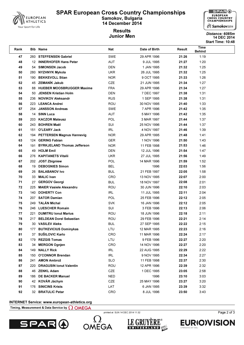





# Start Time: 10:48

| <b>Time</b><br><b>Bib Name</b><br>Nat<br>Date of Birth<br>Rank<br>Result<br><b>Behind</b>                                                           |              |
|-----------------------------------------------------------------------------------------------------------------------------------------------------|--------------|
| SWE<br>260 STEFFENSEN Gabriel<br>29 APR 1996<br>21:26<br>47                                                                                         | 1:19         |
| 48<br>12 INNERHOFER Hans Peter<br>AUT<br>9 JUL 1995<br>21:27                                                                                        | 1:20         |
| 54 SIMONSEN Jacob<br>49<br>DEN<br>1 JAN 1995<br>21:32                                                                                               | 1:25         |
| <b>UKR</b><br>50<br><b>NYZHNYK Mykola</b><br>26 JUL 1995<br>21:32<br>280                                                                            | 1:25         |
| <b>BEKKEVOLL Stian</b><br><b>NOR</b><br>9 OCT 1995<br>51<br>190<br>21:33                                                                            | 1:26         |
| 45 ZEMANÍK Jakub<br><b>CZE</b><br>52<br>21 JUN 1995<br>21:34                                                                                        | 1:27         |
| 53<br><b>HUEBER MOOSBRUGGER Maxime</b><br><b>FRA</b><br>88<br>29 APR 1996<br>21:34                                                                  | 1:27         |
| <b>DEN</b><br>54<br>50<br><b>JENSEN Kristian Holm</b><br>7 DEC 1997<br>21:38                                                                        | 1:31         |
| <b>NOVIKOV Aleksandr</b><br><b>RUS</b><br>1 SEP 1995<br>55<br>236<br>21:38                                                                          | 1:31         |
| ROU<br>56<br>223<br><b>LEANCA Andrei</b><br>30 NOV 1995<br>21:40                                                                                    | 1:33         |
| 254 JANSSON Andreas<br><b>SWE</b><br>7 APR 1996<br>57<br>21:42                                                                                      | 1:35         |
| 14 SINN Luca<br>58<br>AUT<br>5 MAY 1996<br>21:42                                                                                                    | 1:35         |
| 59<br><b>KACZOR Mateusz</b><br>POL<br>3 MAR 1997<br>203<br>21:44                                                                                    | 1:37         |
| SUI<br>60<br>243<br><b>BOHREN Maël</b><br>25 NOV 1996<br>21:44                                                                                      | 1:37         |
| 61<br>151 O'LEARY Jack<br><b>IRL</b><br>4 NOV 1997<br>21:46                                                                                         | 1:39         |
| 62<br>194 PETTERSEN Magnus Hannevig<br><b>NOR</b><br>29 APR 1995<br>21:48                                                                           | 1:41         |
| 63<br>124 GERING Fabian<br><b>GER</b><br>1 NOV 1996<br>21:50                                                                                        | 1:43         |
| 64<br>191 BYRKJELAND Thomas Jefferson<br><b>NOR</b><br>11 FEB 1998<br>21:53                                                                         | 1:46         |
| 65<br><b>HOLM Emil</b><br><b>DEN</b><br>21:54<br>49<br>12 JUL 1996                                                                                  | 1:47         |
| <b>KAPITANETS Vitalii</b><br><b>UKR</b><br>66<br>27 JUL 1995<br>21:56<br>276                                                                        | 1:49         |
| <b>POL</b><br>21:59<br>67<br>202 JOST Zbigniew<br>14 MAR 1996                                                                                       | 1:52         |
| 68<br><b>DEBOGNIES Simon</b><br><b>BEL</b><br>22:03<br>19<br>1996                                                                                   | 1:56         |
| 69<br><b>BUL</b><br>21 FEB 1997<br><b>BALABANOV Ivo</b><br>22:05<br>26                                                                              | 1:58         |
| CRO<br>70<br><b>MALIC Ivan</b><br>13 NOV 1995<br>22:07<br>33                                                                                        | 2:00         |
| 27 GERGOV Georgi<br>71<br><b>BUL</b><br>22:08<br>18 NOV 1997                                                                                        | 2:01         |
| <b>MAIER Vasiele Alexandru</b><br>ROU<br>72<br>30 JUN 1996<br>22:10<br>225<br>73<br><b>DOHERTY Con</b><br><b>IRL</b><br>140<br>11 JUL 1995<br>22:11 | 2:03<br>2:04 |
| <b>SATOR Damian</b><br>74<br><b>POL</b><br>25 FEB 1996<br>22:12<br>207                                                                              | 2:05         |
| TALÁN Michal<br>75<br>249<br><b>SVK</b><br>16 JAN 1996<br>22:12                                                                                     | 2:05         |
| <b>LUESCHER Romain</b><br>SUI<br>76<br>246<br>3 FEB 1996<br>22:13                                                                                   | 2:06         |
| 77<br><b>DUMITRU Ionut Marius</b><br>ROU<br>18 JUN 1996<br>22:18<br>221                                                                             | 2:11         |
| 78<br><b>BELDEAN Dorel Sebastian</b><br>ROU<br>22:21<br>217<br>29 FEB 1996                                                                          | 2:14         |
| <b>BUL</b><br>79<br>30 VASILEV Aleks<br>27 SEP 1995<br>22:22                                                                                        | 2:15         |
| 80<br>177 BUTKEVICIUS Dominykas<br>LTU<br>12 MAR 1995<br>22:23                                                                                      | 2:16         |
| 37 SUŠILOVIC Karlo<br>81<br>CRO<br>11 MAR 1996<br>22:24                                                                                             | 2:17         |
| 82<br><b>REZGIS Tomas</b><br>LTU<br>179<br>9 FEB 1996<br>22:27                                                                                      | 2:20         |
| 83<br>34 MERGON Ognjen<br><b>CRO</b><br>14 NOV 1996<br>22:27                                                                                        | 2:20         |
| 84<br>149 NALLY Rick<br>IRL<br>22 AUG 1995<br>22:29                                                                                                 | 2:22         |
| 85<br>150 O'CONNOR Brendan<br>IRL<br>9 NOV 1995<br>22:34                                                                                            | 2:27         |
| <b>SLO</b><br>86<br>241<br><b>AMON Ambrož</b><br>11 FEB 1998<br>22:37                                                                               | 2:30         |
| 87<br><b>DRAGUSIN lonut Valentin</b><br><b>ROU</b><br>12 APR 1996<br>22:39<br>220                                                                   | 2:32         |
| CZE<br>88<br>46 ZENKL Adam<br>1 DEC 1995<br>23:05                                                                                                   | 2:58         |
| 89<br><b>DE BACKER Manuel</b><br><b>NED</b><br>1996<br>23:10<br>186                                                                                 | 3:03         |
| 42 KOVÁR Jáchym<br>90<br>CZE<br>25 MAY 1996<br>23:27                                                                                                | 3:20         |
| 176 SINICINS Krists<br>91<br>LAT<br>6 JAN 1995<br>23:39                                                                                             | 3:32         |
| 32 BRATULIC Petar<br>92<br>CRO<br>8 JUL 1996<br>23:50                                                                                               | 3:43         |

#### INTERNET Service: www.european-athletics.org

Timing, Measurement & Data Service by  $\Omega$  OMEGA





printed at SUN 14 DEC 2014 11:32



**EURIOVISION**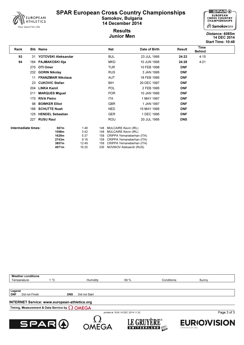

Results



#### Junior Men 14 DEC 2014 Start Time: 10:48 Distance: 6085m

Time یسته به است که از این کشور از این معامل است.<br>استفاده از این کشور Date of Birth Result به این این کشور از این کشور از این کشور از این کشور از این کشور از ای Behind 93 31 YOTOVSKI Aleksandar BUL 23 JUL 1995 24:22 4:15 94 184 PAJMAKOSKI Ilija MKD 10 JUN 1995 24:28 4:21 270 OTI Omer **TUR** 10 FEB 1998 DNF 232 GORIN Nikolay **RUS** RUS 3 JAN 1995 **DNF** 11 FRANZMAIR Nikolaus **AUT** 18 FEB 1995 DNF 23 CUKOVIC Stefan **BIH** 20 DEC 1997 DNF 204 LINKA Kamil POL 2 FEB 1995 DNF 211 MARQUES Miguel 211 MARQUES Miguel 211 MARQUES Miguel 211 MARQUES Miguel 211 MB 170 RIVA Pietro ITA 1 MAY 1997 DNF 98 BOWKER Elliot GBR 1 JAN 1997 DNF 188 SCHUTTE Noah **NED** 15 MAY 1995 **DNF** 125 HENDEL Sebastian GER 1 DEC 1995 DNF 227 RUSU Raul ROU 20 JUL 1995 DNS Intermediate times: 567m 1:48 1:48 MULCAIRE Kevin (IRL) 1098m 3:42 148 MULCAIRE Kevin (IRL) 1629m 5:37 158 CRIPPA Yemaneberhan (ITA) 2743m 9:18 158 CRIPPA Yemaneberhan (ITA) 3857m 12:49 158 CRIPPA Yemaneberhan (ITA)<br>1971m 16:20 236 NOVIKOV Aleksandr (RUS) 16:20 236 NOVIKOV Aleksandr (RUS)

INTERNET Service: www.european-athletics.org Weather conditions Temperature: 1 °C Humidity: 69 % Conditions: Sunny Legend<br>DNF Did not Finish **DNS** Did not Start







**OMEGA** 

**GKI** 

SWITZERLAND 40P



**EURIO)VISION**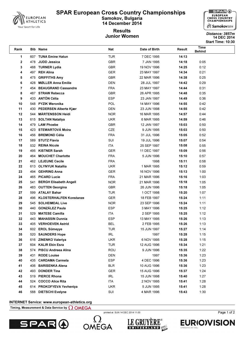

## **Results** Junior Women 14 DEC 2014 Distance: 3857m



## Start Time: 10:30

| Rank           |     | Bib Name                                 | Nat                      | Date of Birth              | Result         | Time<br><b>Behind</b> |  |
|----------------|-----|------------------------------------------|--------------------------|----------------------------|----------------|-----------------------|--|
| 1              |     | 607 TUNA Emine Hatun                     | <b>TUR</b>               | 7 DEC 1995                 | 14:13          |                       |  |
| $\mathbf 2$    |     | 478 JUDD Jessica                         | <b>GBR</b>               | 7 JAN 1995                 | 14:18          | 0:05                  |  |
| 3              |     | 488 TURNER Lydia                         | <b>GBR</b>               | 19 NOV 1996                | 14:25          | 0:12                  |  |
| 4              |     | 497 REH Alina                            | <b>GER</b>               | 23 MAY 1997                | 14:34          | 0:21                  |  |
| 5              |     | 475 GRIFFITHS Amy                        | <b>GBR</b>               | 22 MAR 1996                | 14:38          | 0:25                  |  |
| 6              | 428 | <b>MØLLER Anna Emilie</b>                | <b>DEN</b>               | 28 JUL 1997                | 14:42          | 0:29                  |  |
| $\overline{7}$ |     | 454 BEAUGRAND Cassandre                  | <b>FRA</b>               | 23 MAY 1997                | 14:44          | 0:31                  |  |
| 8              |     | 487 STRAW Rebecca                        | <b>GBR</b>               | 26 APR 1995                | 14:48          | 0:35                  |  |
| 9              |     | 433 ANTÓN Célia                          | <b>ESP</b>               | 23 JAN 1997                | 14:49          | 0:36                  |  |
| 10             |     | 548 PYZIK Weronika                       | POL                      | 14 MAY 1996                | 14:55          | 0:42                  |  |
| 11             |     | 430 PEDERSEN Alberte Kjær                | DEN                      | 23 JUN 1998                | 14:55          | 0:42                  |  |
| 12             |     | 544 MÄRTENSSON Heidi                     | <b>NOR</b>               | 16 MAR 1995                | 14:57          | 0:44                  |  |
| 13             |     | 615 SOLTAN Nataliya                      | <b>UKR</b>               | 6 MAR 1995                 | 14:59          | 0:46                  |  |
| 14             |     | 479 LAW Phoebe                           | <b>GBR</b>               | 12 JAN 1997                | 15:03          | 0:50                  |  |
| 15             |     | 423 STEWARTOVÁ Moira                     | CZE                      | 9 JUN 1995                 | 15:03          | 0:50                  |  |
| 16             |     | 456 BREMOND Célia                        | <b>FRA</b>               | 31 JUL 1996                | 15:05          | 0:52                  |  |
| 17             |     | 589 STUTZ Flavia                         | SUI                      | 19 JUL 1996                | 15:07          | 0:54                  |  |
| 18             |     | 532 REINA Nicole                         | ITA                      | 25 SEP 1997                | 15:08          | 0:55                  |  |
| 19             |     | 495 KISTNER Sarah                        | <b>GER</b>               | 11 DEC 1997                | 15:09          | 0:56                  |  |
| 20             |     | 464 MOUCHET Charlotte                    | <b>FRA</b>               | 5 JUN 1996                 | 15:10          | 0:57                  |  |
| 21             |     | 462 LEJEUNE Cecile                       | <b>FRA</b>               | 1998                       | 15:11          | 0:58                  |  |
| 22             |     | 613 OLYNYUK Natallia<br>494 GEHRING Anna | <b>UKR</b>               | 1 MAR 1995                 | 15:12          | 0:59                  |  |
| 23<br>24       |     | 465 PICARD Lucie                         | <b>GER</b><br><b>FRA</b> | 16 NOV 1996<br>21 MAR 1996 | 15:13<br>15:16 | 1:00<br>1:03          |  |
| 25             | 541 | <b>BERGH Elisabeth Angell</b>            | <b>NOR</b>               | 21 MAR 1996                | 15:18          | 1:05                  |  |
| 26             |     | 483 OUTTEN Georgina                      | <b>GBR</b>               | 26 JUN 1996                | 15:18          | 1:05                  |  |
| 27             |     | 599 ATALAY Bahar                         | TUR                      | 1 OCT 1998                 | 15:20          | 1:07                  |  |
| 28             | 496 | <b>KLOSTERHALFEN Konstanze</b>           | <b>GER</b>               | 18 FEB 1997                | 15:24          | 1:11                  |  |
| 29             | 545 | <b>SOLHEIMDAL Live</b>                   | <b>NOR</b>               | 23 SEP 1996                | 15:24          | 1:11                  |  |
| 30             | 440 | <b>GONZÁLEZ Paula</b>                    | <b>ESP</b>               | 3 MAY 1996                 | 15:25          | 1:12                  |  |
| 31             | 529 | <b>MATESE Camilla</b>                    | <b>ITA</b>               | 2 SEP 1995                 | 15:25          | 1:12                  |  |
| 32             |     | 443 MAHASSIN Dunnia                      | <b>ESP</b>               | 13 MAY 1995                | 15:26          | 1:13                  |  |
| 33             |     | 405 VERHOEVEN Astrid                     | <b>BEL</b>               | 2 FEB 1995                 | 15:26          | 1:13                  |  |
| 34             |     | 602 EROL Sümeyye                         | TUR                      | 15 JUN 1997                | 15:27          | 1:14                  |  |
| 35             |     | 520 SAUNDERS Hope                        | <b>IRL</b>               | 1997                       | 15:28          | 1:15                  |  |
| 36             |     | 616 ZINENKO Valeriya                     | <b>UKR</b>               | 6 NOV 1995                 | 15:28          | 1:15                  |  |
| 37             |     | 604 KALIR Ekin Esra                      | TUR                      | 12 AUG 1996                | 15:34          | 1:21                  |  |
| 38             |     | 574 PISCU Andreea Alina                  | <b>ROU</b>               | 9 JUN 1996                 | 15:35          | 1:22                  |  |
| 39             |     | 431 RODE Louise                          | DEN                      | 1997                       | 15:36          | 1:23                  |  |
| 40             |     | 435 CARDAMA Carmela                      | <b>ESP</b>               | 4 DEC 1996                 | 15:36          | 1:23                  |  |
| 41             | 406 | <b>BARISENKA Alena</b>                   | <b>BLR</b>               | 10 AUG 1996                | 15:36          | 1:23                  |  |
| 42             |     | 493 DONDER Tina                          | <b>GER</b>               | 15 AUG 1996                | 15:37          | 1:24                  |  |
| 43             |     | 519 PIERCE Rhona                         | <b>IRL</b>               | 15 JUN 1998                | 15:40          | 1:27                  |  |
| 44             |     | 524 COCCO Alice Rita                     | <b>ITA</b>               | 2 NOV 1995                 | 15:41          | 1:28                  |  |
| 45             |     | 614 PROKOFYEVA Yevheniya                 | <b>UKR</b>               | 5 JUN 1995                 | 15:41          | 1:28                  |  |
| 46             |     | 588 DIETSCHI Evelyne                     | SUI                      | 4 MAR 1996                 | 15:43          | 1:30                  |  |

### INTERNET Service: www.european-athletics.org

Timing, Measurement & Data Service by  $\Omega$  OMEGA





printed at SUN 14 DEC 2014 11:00





Page 1 of 2